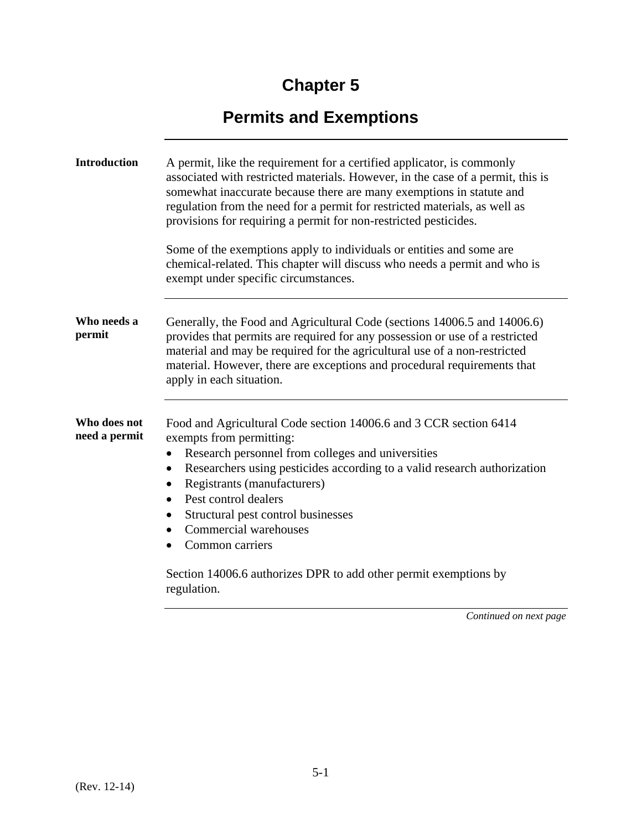## **Chapter 5**

## **Permits and Exemptions**

| <b>Introduction</b>           | A permit, like the requirement for a certified applicator, is commonly<br>associated with restricted materials. However, in the case of a permit, this is<br>somewhat inaccurate because there are many exemptions in statute and<br>regulation from the need for a permit for restricted materials, as well as<br>provisions for requiring a permit for non-restricted pesticides.<br>Some of the exemptions apply to individuals or entities and some are<br>chemical-related. This chapter will discuss who needs a permit and who is<br>exempt under specific circumstances. |
|-------------------------------|----------------------------------------------------------------------------------------------------------------------------------------------------------------------------------------------------------------------------------------------------------------------------------------------------------------------------------------------------------------------------------------------------------------------------------------------------------------------------------------------------------------------------------------------------------------------------------|
| Who needs a<br>permit         | Generally, the Food and Agricultural Code (sections 14006.5 and 14006.6)<br>provides that permits are required for any possession or use of a restricted<br>material and may be required for the agricultural use of a non-restricted<br>material. However, there are exceptions and procedural requirements that<br>apply in each situation.                                                                                                                                                                                                                                    |
| Who does not<br>need a permit | Food and Agricultural Code section 14006.6 and 3 CCR section 6414<br>exempts from permitting:<br>Research personnel from colleges and universities<br>$\bullet$<br>Researchers using pesticides according to a valid research authorization<br>$\bullet$<br>Registrants (manufacturers)<br>$\bullet$<br>Pest control dealers<br>Structural pest control businesses<br>$\bullet$<br>Commercial warehouses<br>$\bullet$<br>Common carriers<br>$\bullet$<br>Section 14006.6 authorizes DPR to add other permit exemptions by<br>regulation.                                         |

*Continued on next page*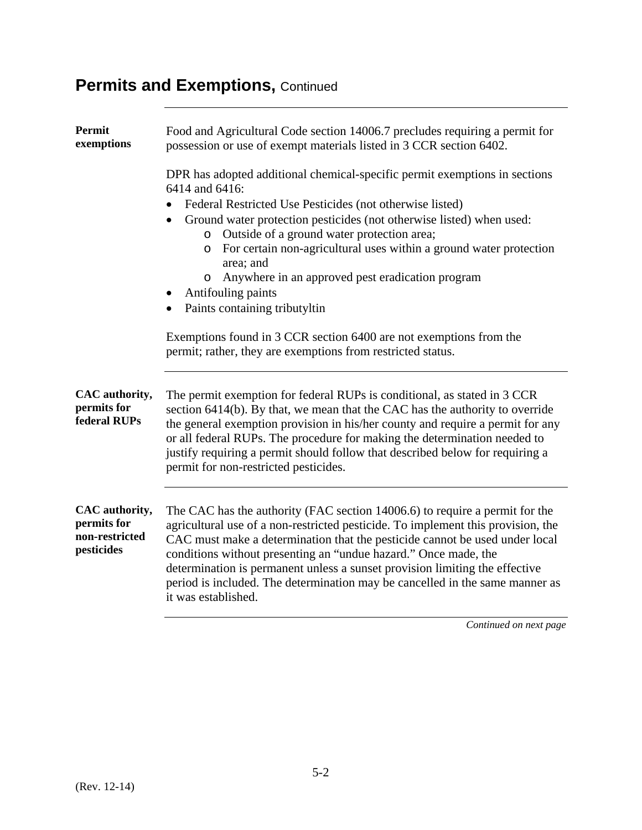## **Permits and Exemptions, Continued**

| Permit<br>exemptions                                          | Food and Agricultural Code section 14006.7 precludes requiring a permit for<br>possession or use of exempt materials listed in 3 CCR section 6402.                                                                                                                                                                                                                                                                                                                                                                         |
|---------------------------------------------------------------|----------------------------------------------------------------------------------------------------------------------------------------------------------------------------------------------------------------------------------------------------------------------------------------------------------------------------------------------------------------------------------------------------------------------------------------------------------------------------------------------------------------------------|
|                                                               | DPR has adopted additional chemical-specific permit exemptions in sections<br>6414 and 6416:<br>Federal Restricted Use Pesticides (not otherwise listed)<br>Ground water protection pesticides (not otherwise listed) when used:<br>$\bullet$<br>Outside of a ground water protection area;<br>$\circ$<br>For certain non-agricultural uses within a ground water protection<br>$\circ$<br>area; and<br>Anywhere in an approved pest eradication program<br>$\circ$<br>Antifouling paints<br>Paints containing tributyltin |
|                                                               | Exemptions found in 3 CCR section 6400 are not exemptions from the<br>permit; rather, they are exemptions from restricted status.                                                                                                                                                                                                                                                                                                                                                                                          |
| CAC authority,<br>permits for<br>federal RUPs                 | The permit exemption for federal RUPs is conditional, as stated in 3 CCR<br>section 6414(b). By that, we mean that the CAC has the authority to override<br>the general exemption provision in his/her county and require a permit for any<br>or all federal RUPs. The procedure for making the determination needed to<br>justify requiring a permit should follow that described below for requiring a<br>permit for non-restricted pesticides.                                                                          |
| CAC authority,<br>permits for<br>non-restricted<br>pesticides | The CAC has the authority (FAC section 14006.6) to require a permit for the<br>agricultural use of a non-restricted pesticide. To implement this provision, the<br>CAC must make a determination that the pesticide cannot be used under local<br>conditions without presenting an "undue hazard." Once made, the<br>determination is permanent unless a sunset provision limiting the effective<br>period is included. The determination may be cancelled in the same manner as<br>it was established.                    |
|                                                               |                                                                                                                                                                                                                                                                                                                                                                                                                                                                                                                            |

*Continued on next page*